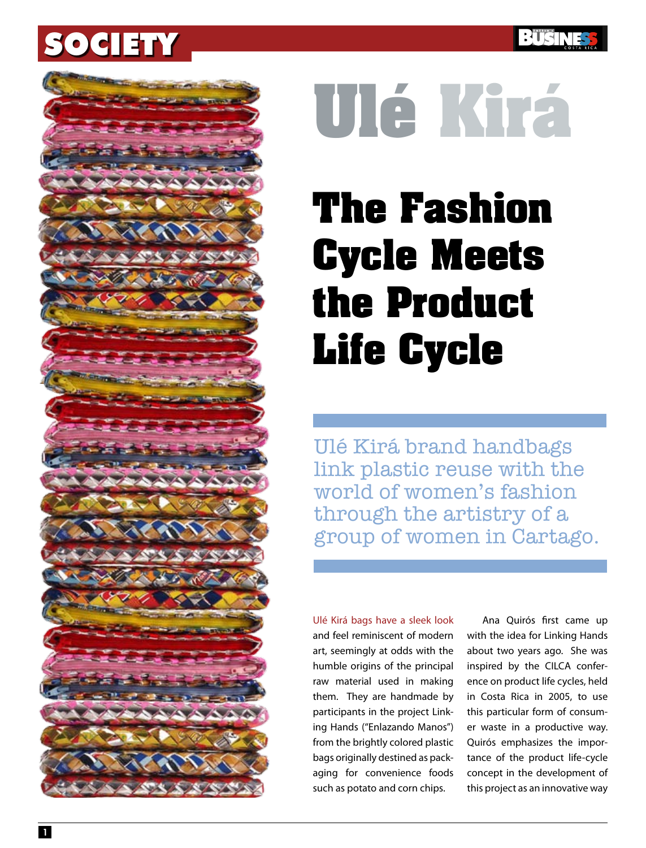



# **Ulé Kirá**

## **The Fashion Cycle Meets the Product Life Cycle**

Ulé Kirá brand handbags link plastic reuse with the world of women's fashion through the artistry of a group of women in Cartago.

Ulé Kirá bags have a sleek look and feel reminiscent of modern art, seemingly at odds with the humble origins of the principal raw material used in making them. They are handmade by participants in the project Linking Hands ("Enlazando Manos") from the brightly colored plastic bags originally destined as packaging for convenience foods such as potato and corn chips.

Ana Quirós first came up with the idea for Linking Hands about two years ago. She was inspired by the CILCA conference on product life cycles, held in Costa Rica in 2005, to use this particular form of consumer waste in a productive way. Quirós emphasizes the importance of the product life-cycle concept in the development of this project as an innovative way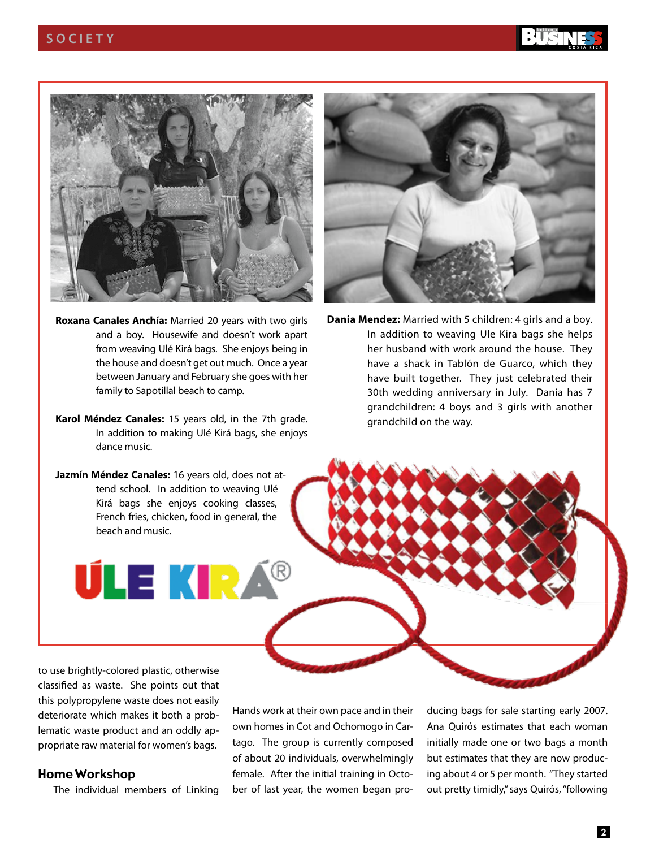

- **Roxana Canales Anchía:** Married 20 years with two girls and a boy. Housewife and doesn't work apart from weaving Ulé Kirá bags. She enjoys being in the house and doesn't get out much. Once a year between January and February she goes with her family to Sapotillal beach to camp.
- **Karol Méndez Canales:** 15 years old, in the 7th grade. In addition to making Ulé Kirá bags, she enjoys dance music.
- **Jazmín Méndez Canales:** 16 years old, does not attend school. In addition to weaving Ulé Kirá bags she enjoys cooking classes, French fries, chicken, food in general, the beach and music.

**ÚLE KIRÁ** 



**Dania Mendez:** Married with 5 children: 4 girls and a boy. In addition to weaving Ule Kira bags she helps her husband with work around the house. They have a shack in Tablón de Guarco, which they have built together. They just celebrated their 30th wedding anniversary in July. Dania has 7 grandchildren: 4 boys and 3 girls with another grandchild on the way.

to use brightly-colored plastic, otherwise classified as waste. She points out that this polypropylene waste does not easily deteriorate which makes it both a problematic waste product and an oddly appropriate raw material for women's bags.

#### Home Workshop

The individual members of Linking

Hands work at their own pace and in their own homes in Cot and Ochomogo in Cartago. The group is currently composed of about 20 individuals, overwhelmingly female. After the initial training in October of last year, the women began producing bags for sale starting early 2007. Ana Quirós estimates that each woman initially made one or two bags a month but estimates that they are now producing about 4 or 5 per month. "They started out pretty timidly," says Quirós, "following